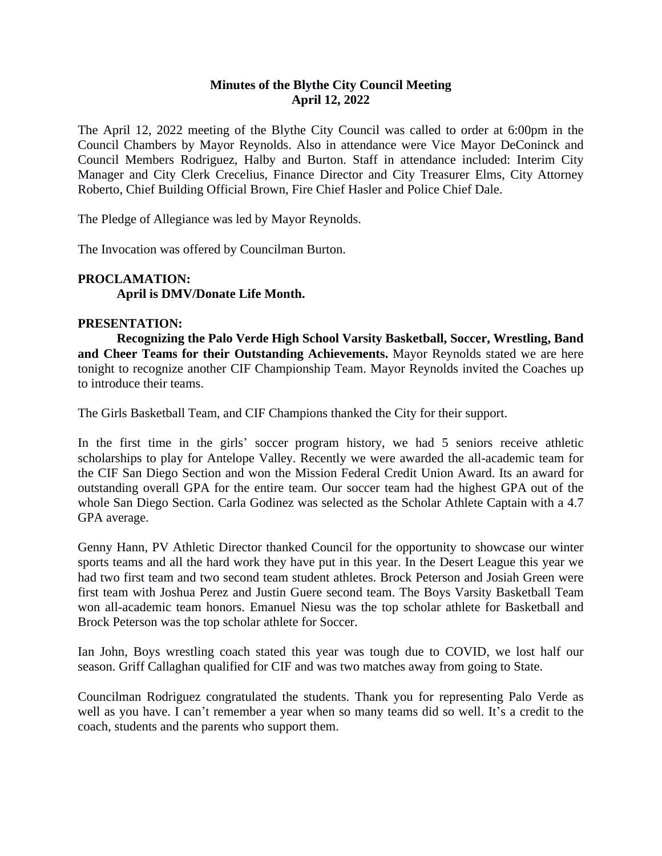# **Minutes of the Blythe City Council Meeting April 12, 2022**

The April 12, 2022 meeting of the Blythe City Council was called to order at 6:00pm in the Council Chambers by Mayor Reynolds. Also in attendance were Vice Mayor DeConinck and Council Members Rodriguez, Halby and Burton. Staff in attendance included: Interim City Manager and City Clerk Crecelius, Finance Director and City Treasurer Elms, City Attorney Roberto, Chief Building Official Brown, Fire Chief Hasler and Police Chief Dale.

The Pledge of Allegiance was led by Mayor Reynolds.

The Invocation was offered by Councilman Burton.

# **PROCLAMATION: April is DMV/Donate Life Month.**

# **PRESENTATION:**

**Recognizing the Palo Verde High School Varsity Basketball, Soccer, Wrestling, Band and Cheer Teams for their Outstanding Achievements.** Mayor Reynolds stated we are here tonight to recognize another CIF Championship Team. Mayor Reynolds invited the Coaches up to introduce their teams.

The Girls Basketball Team, and CIF Champions thanked the City for their support.

In the first time in the girls' soccer program history, we had 5 seniors receive athletic scholarships to play for Antelope Valley. Recently we were awarded the all-academic team for the CIF San Diego Section and won the Mission Federal Credit Union Award. Its an award for outstanding overall GPA for the entire team. Our soccer team had the highest GPA out of the whole San Diego Section. Carla Godinez was selected as the Scholar Athlete Captain with a 4.7 GPA average.

Genny Hann, PV Athletic Director thanked Council for the opportunity to showcase our winter sports teams and all the hard work they have put in this year. In the Desert League this year we had two first team and two second team student athletes. Brock Peterson and Josiah Green were first team with Joshua Perez and Justin Guere second team. The Boys Varsity Basketball Team won all-academic team honors. Emanuel Niesu was the top scholar athlete for Basketball and Brock Peterson was the top scholar athlete for Soccer.

Ian John, Boys wrestling coach stated this year was tough due to COVID, we lost half our season. Griff Callaghan qualified for CIF and was two matches away from going to State.

Councilman Rodriguez congratulated the students. Thank you for representing Palo Verde as well as you have. I can't remember a year when so many teams did so well. It's a credit to the coach, students and the parents who support them.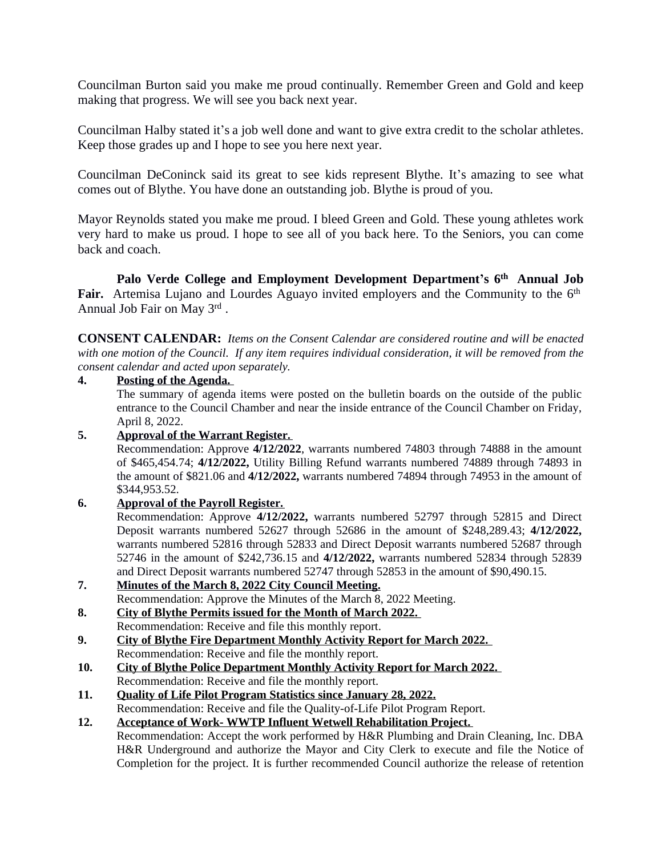Councilman Burton said you make me proud continually. Remember Green and Gold and keep making that progress. We will see you back next year.

Councilman Halby stated it's a job well done and want to give extra credit to the scholar athletes. Keep those grades up and I hope to see you here next year.

Councilman DeConinck said its great to see kids represent Blythe. It's amazing to see what comes out of Blythe. You have done an outstanding job. Blythe is proud of you.

Mayor Reynolds stated you make me proud. I bleed Green and Gold. These young athletes work very hard to make us proud. I hope to see all of you back here. To the Seniors, you can come back and coach.

**Palo Verde College and Employment Development Department's 6 th Annual Job** Fair. Artemisa Lujano and Lourdes Aguayo invited employers and the Community to the 6<sup>th</sup> Annual Job Fair on May 3rd .

**CONSENT CALENDAR:** *Items on the Consent Calendar are considered routine and will be enacted* with one motion of the Council. If any item requires individual consideration, it will be removed from the *consent calendar and acted upon separately.*

#### **4. Posting of the Agenda.**

The summary of agenda items were posted on the bulletin boards on the outside of the public entrance to the Council Chamber and near the inside entrance of the Council Chamber on Friday, April 8, 2022.

# **5. Approval of the Warrant Register.**

Recommendation: Approve **4/12/2022**, warrants numbered 74803 through 74888 in the amount of \$465,454.74; **4/12/2022,** Utility Billing Refund warrants numbered 74889 through 74893 in the amount of \$821.06 and **4/12/2022,** warrants numbered 74894 through 74953 in the amount of \$344,953.52.

# **6. Approval of the Payroll Register.**

Recommendation: Approve **4/12/2022,** warrants numbered 52797 through 52815 and Direct Deposit warrants numbered 52627 through 52686 in the amount of \$248,289.43; **4/12/2022,** warrants numbered 52816 through 52833 and Direct Deposit warrants numbered 52687 through 52746 in the amount of \$242,736.15 and **4/12/2022,** warrants numbered 52834 through 52839 and Direct Deposit warrants numbered 52747 through 52853 in the amount of \$90,490.15.

- **7. Minutes of the March 8, 2022 City Council Meeting.** Recommendation: Approve the Minutes of the March 8, 2022 Meeting.
- **8. City of Blythe Permits issued for the Month of March 2022.**  Recommendation: Receive and file this monthly report.
- **9. City of Blythe Fire Department Monthly Activity Report for March 2022.**  Recommendation: Receive and file the monthly report.
- **10. City of Blythe Police Department Monthly Activity Report for March 2022.**  Recommendation: Receive and file the monthly report.
- **11. Quality of Life Pilot Program Statistics since January 28, 2022.** Recommendation: Receive and file the Quality-of-Life Pilot Program Report.
- **12. Acceptance of Work- WWTP Influent Wetwell Rehabilitation Project.** Recommendation: Accept the work performed by H&R Plumbing and Drain Cleaning, Inc. DBA H&R Underground and authorize the Mayor and City Clerk to execute and file the Notice of Completion for the project. It is further recommended Council authorize the release of retention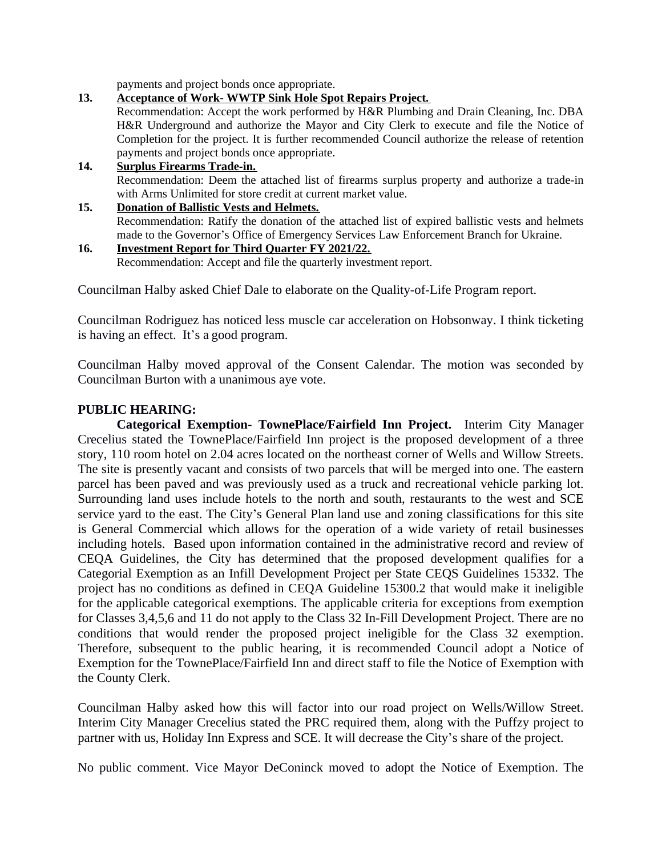payments and project bonds once appropriate.

# **13. Acceptance of Work- WWTP Sink Hole Spot Repairs Project.** Recommendation: Accept the work performed by H&R Plumbing and Drain Cleaning, Inc. DBA H&R Underground and authorize the Mayor and City Clerk to execute and file the Notice of Completion for the project. It is further recommended Council authorize the release of retention payments and project bonds once appropriate. **14. Surplus Firearms Trade-in.**

Recommendation: Deem the attached list of firearms surplus property and authorize a trade-in with Arms Unlimited for store credit at current market value.

### **15. Donation of Ballistic Vests and Helmets.** Recommendation: Ratify the donation of the attached list of expired ballistic vests and helmets made to the Governor's Office of Emergency Services Law Enforcement Branch for Ukraine.

#### **16. Investment Report for Third Quarter FY 2021/22.** Recommendation: Accept and file the quarterly investment report.

Councilman Halby asked Chief Dale to elaborate on the Quality-of-Life Program report.

Councilman Rodriguez has noticed less muscle car acceleration on Hobsonway. I think ticketing is having an effect. It's a good program.

Councilman Halby moved approval of the Consent Calendar. The motion was seconded by Councilman Burton with a unanimous aye vote.

# **PUBLIC HEARING:**

**Categorical Exemption- TownePlace/Fairfield Inn Project.** Interim City Manager Crecelius stated the TownePlace/Fairfield Inn project is the proposed development of a three story, 110 room hotel on 2.04 acres located on the northeast corner of Wells and Willow Streets. The site is presently vacant and consists of two parcels that will be merged into one. The eastern parcel has been paved and was previously used as a truck and recreational vehicle parking lot. Surrounding land uses include hotels to the north and south, restaurants to the west and SCE service yard to the east. The City's General Plan land use and zoning classifications for this site is General Commercial which allows for the operation of a wide variety of retail businesses including hotels. Based upon information contained in the administrative record and review of CEQA Guidelines, the City has determined that the proposed development qualifies for a Categorial Exemption as an Infill Development Project per State CEQS Guidelines 15332. The project has no conditions as defined in CEQA Guideline 15300.2 that would make it ineligible for the applicable categorical exemptions. The applicable criteria for exceptions from exemption for Classes 3,4,5,6 and 11 do not apply to the Class 32 In-Fill Development Project. There are no conditions that would render the proposed project ineligible for the Class 32 exemption. Therefore, subsequent to the public hearing, it is recommended Council adopt a Notice of Exemption for the TownePlace/Fairfield Inn and direct staff to file the Notice of Exemption with the County Clerk.

Councilman Halby asked how this will factor into our road project on Wells/Willow Street. Interim City Manager Crecelius stated the PRC required them, along with the Puffzy project to partner with us, Holiday Inn Express and SCE. It will decrease the City's share of the project.

No public comment. Vice Mayor DeConinck moved to adopt the Notice of Exemption. The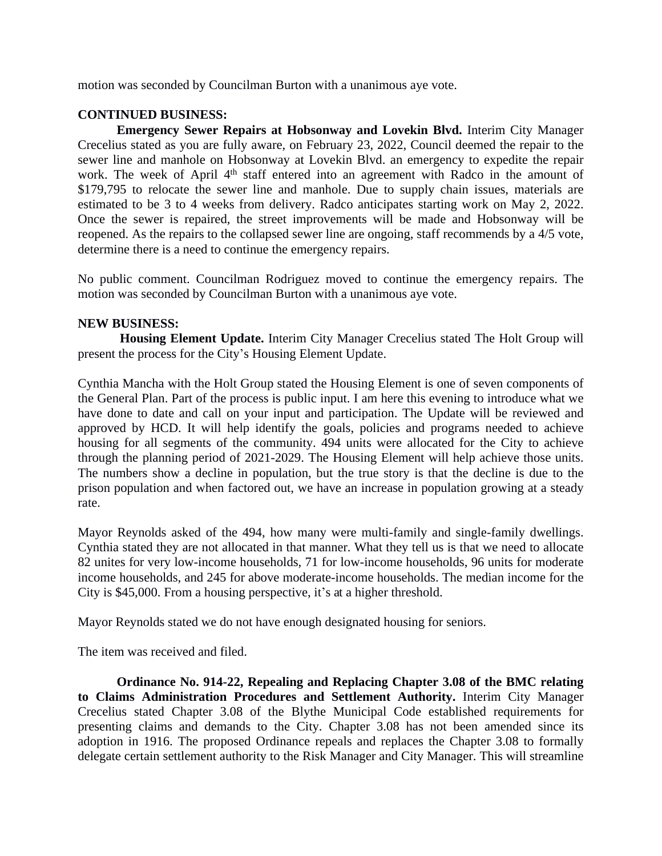motion was seconded by Councilman Burton with a unanimous aye vote.

# **CONTINUED BUSINESS:**

**Emergency Sewer Repairs at Hobsonway and Lovekin Blvd.** Interim City Manager Crecelius stated as you are fully aware, on February 23, 2022, Council deemed the repair to the sewer line and manhole on Hobsonway at Lovekin Blvd. an emergency to expedite the repair work. The week of April 4<sup>th</sup> staff entered into an agreement with Radco in the amount of \$179,795 to relocate the sewer line and manhole. Due to supply chain issues, materials are estimated to be 3 to 4 weeks from delivery. Radco anticipates starting work on May 2, 2022. Once the sewer is repaired, the street improvements will be made and Hobsonway will be reopened. As the repairs to the collapsed sewer line are ongoing, staff recommends by a 4/5 vote, determine there is a need to continue the emergency repairs.

No public comment. Councilman Rodriguez moved to continue the emergency repairs. The motion was seconded by Councilman Burton with a unanimous aye vote.

# **NEW BUSINESS:**

**Housing Element Update.** Interim City Manager Crecelius stated The Holt Group will present the process for the City's Housing Element Update.

Cynthia Mancha with the Holt Group stated the Housing Element is one of seven components of the General Plan. Part of the process is public input. I am here this evening to introduce what we have done to date and call on your input and participation. The Update will be reviewed and approved by HCD. It will help identify the goals, policies and programs needed to achieve housing for all segments of the community. 494 units were allocated for the City to achieve through the planning period of 2021-2029. The Housing Element will help achieve those units. The numbers show a decline in population, but the true story is that the decline is due to the prison population and when factored out, we have an increase in population growing at a steady rate.

Mayor Reynolds asked of the 494, how many were multi-family and single-family dwellings. Cynthia stated they are not allocated in that manner. What they tell us is that we need to allocate 82 unites for very low-income households, 71 for low-income households, 96 units for moderate income households, and 245 for above moderate-income households. The median income for the City is \$45,000. From a housing perspective, it's at a higher threshold.

Mayor Reynolds stated we do not have enough designated housing for seniors.

The item was received and filed.

**Ordinance No. 914-22, Repealing and Replacing Chapter 3.08 of the BMC relating to Claims Administration Procedures and Settlement Authority.** Interim City Manager Crecelius stated Chapter 3.08 of the Blythe Municipal Code established requirements for presenting claims and demands to the City. Chapter 3.08 has not been amended since its adoption in 1916. The proposed Ordinance repeals and replaces the Chapter 3.08 to formally delegate certain settlement authority to the Risk Manager and City Manager. This will streamline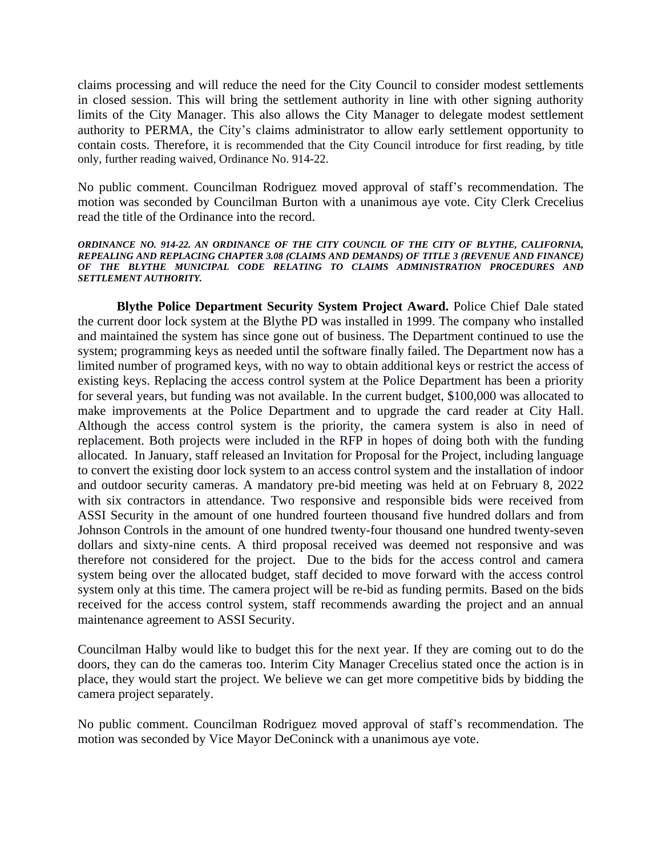claims processing and will reduce the need for the City Council to consider modest settlements in closed session. This will bring the settlement authority in line with other signing authority limits of the City Manager. This also allows the City Manager to delegate modest settlement authority to PERMA, the City's claims administrator to allow early settlement opportunity to contain costs. Therefore, it is recommended that the City Council introduce for first reading, by title only, further reading waived, Ordinance No. 914-22.

No public comment. Councilman Rodriguez moved approval of staff's recommendation. The motion was seconded by Councilman Burton with a unanimous aye vote. City Clerk Crecelius read the title of the Ordinance into the record.

*ORDINANCE NO. 914-22. AN ORDINANCE OF THE CITY COUNCIL OF THE CITY OF BLYTHE, CALIFORNIA, REPEALING AND REPLACING CHAPTER 3.08 (CLAIMS AND DEMANDS) OF TITLE 3 (REVENUE AND FINANCE) OF THE BLYTHE MUNICIPAL CODE RELATING TO CLAIMS ADMINISTRATION PROCEDURES AND SETTLEMENT AUTHORITY.*

**Blythe Police Department Security System Project Award.** Police Chief Dale stated the current door lock system at the Blythe PD was installed in 1999. The company who installed and maintained the system has since gone out of business. The Department continued to use the system; programming keys as needed until the software finally failed. The Department now has a limited number of programed keys, with no way to obtain additional keys or restrict the access of existing keys. Replacing the access control system at the Police Department has been a priority for several years, but funding was not available. In the current budget, \$100,000 was allocated to make improvements at the Police Department and to upgrade the card reader at City Hall. Although the access control system is the priority, the camera system is also in need of replacement. Both projects were included in the RFP in hopes of doing both with the funding allocated. In January, staff released an Invitation for Proposal for the Project, including language to convert the existing door lock system to an access control system and the installation of indoor and outdoor security cameras. A mandatory pre-bid meeting was held at on February 8, 2022 with six contractors in attendance. Two responsive and responsible bids were received from ASSI Security in the amount of one hundred fourteen thousand five hundred dollars and from Johnson Controls in the amount of one hundred twenty-four thousand one hundred twenty-seven dollars and sixty-nine cents. A third proposal received was deemed not responsive and was therefore not considered for the project. Due to the bids for the access control and camera system being over the allocated budget, staff decided to move forward with the access control system only at this time. The camera project will be re-bid as funding permits. Based on the bids received for the access control system, staff recommends awarding the project and an annual maintenance agreement to ASSI Security.

Councilman Halby would like to budget this for the next year. If they are coming out to do the doors, they can do the cameras too. Interim City Manager Crecelius stated once the action is in place, they would start the project. We believe we can get more competitive bids by bidding the camera project separately.

No public comment. Councilman Rodriguez moved approval of staff's recommendation. The motion was seconded by Vice Mayor DeConinck with a unanimous aye vote.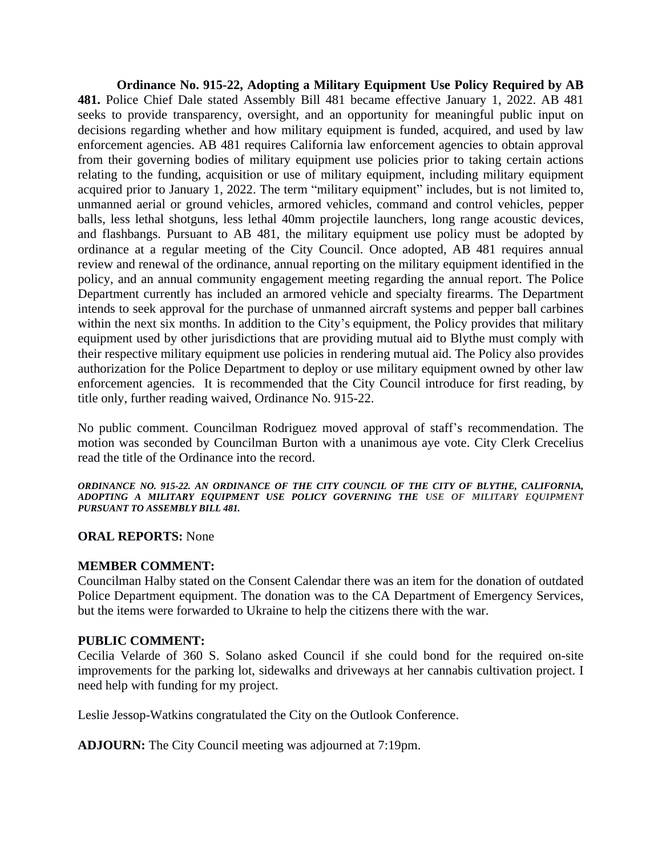**Ordinance No. 915-22, Adopting a Military Equipment Use Policy Required by AB 481.** Police Chief Dale stated Assembly Bill 481 became effective January 1, 2022. AB 481 seeks to provide transparency, oversight, and an opportunity for meaningful public input on decisions regarding whether and how military equipment is funded, acquired, and used by law enforcement agencies. AB 481 requires California law enforcement agencies to obtain approval from their governing bodies of military equipment use policies prior to taking certain actions relating to the funding, acquisition or use of military equipment, including military equipment acquired prior to January 1, 2022. The term "military equipment" includes, but is not limited to, unmanned aerial or ground vehicles, armored vehicles, command and control vehicles, pepper balls, less lethal shotguns, less lethal 40mm projectile launchers, long range acoustic devices, and flashbangs. Pursuant to AB 481, the military equipment use policy must be adopted by ordinance at a regular meeting of the City Council. Once adopted, AB 481 requires annual review and renewal of the ordinance, annual reporting on the military equipment identified in the policy, and an annual community engagement meeting regarding the annual report. The Police Department currently has included an armored vehicle and specialty firearms. The Department intends to seek approval for the purchase of unmanned aircraft systems and pepper ball carbines within the next six months. In addition to the City's equipment, the Policy provides that military equipment used by other jurisdictions that are providing mutual aid to Blythe must comply with their respective military equipment use policies in rendering mutual aid. The Policy also provides authorization for the Police Department to deploy or use military equipment owned by other law enforcement agencies. It is recommended that the City Council introduce for first reading, by title only, further reading waived, Ordinance No. 915-22.

No public comment. Councilman Rodriguez moved approval of staff's recommendation. The motion was seconded by Councilman Burton with a unanimous aye vote. City Clerk Crecelius read the title of the Ordinance into the record.

*ORDINANCE NO. 915-22. AN ORDINANCE OF THE CITY COUNCIL OF THE CITY OF BLYTHE, CALIFORNIA, ADOPTING A MILITARY EQUIPMENT USE POLICY GOVERNING THE USE OF MILITARY EQUIPMENT PURSUANT TO ASSEMBLY BILL 481.*

# **ORAL REPORTS:** None

# **MEMBER COMMENT:**

Councilman Halby stated on the Consent Calendar there was an item for the donation of outdated Police Department equipment. The donation was to the CA Department of Emergency Services, but the items were forwarded to Ukraine to help the citizens there with the war.

# **PUBLIC COMMENT:**

Cecilia Velarde of 360 S. Solano asked Council if she could bond for the required on-site improvements for the parking lot, sidewalks and driveways at her cannabis cultivation project. I need help with funding for my project.

Leslie Jessop-Watkins congratulated the City on the Outlook Conference.

**ADJOURN:** The City Council meeting was adjourned at 7:19pm.